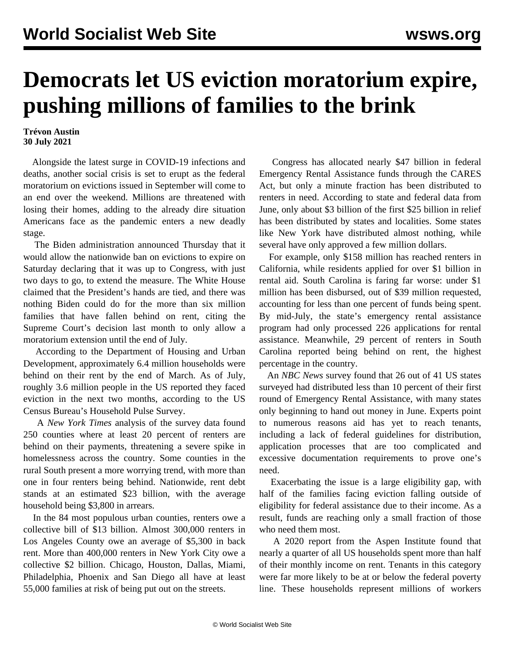## **Democrats let US eviction moratorium expire, pushing millions of families to the brink**

## **Trévon Austin 30 July 2021**

 Alongside the latest surge in COVID-19 infections and deaths, another social crisis is set to erupt as the federal moratorium on evictions issued in September will come to an end over the weekend. Millions are threatened with losing their homes, adding to the already dire situation Americans face as the pandemic enters a new deadly stage.

 The Biden administration announced Thursday that it would allow the nationwide ban on evictions to expire on Saturday declaring that it was up to Congress, with just two days to go, to extend the measure. The White House claimed that the President's hands are tied, and there was nothing Biden could do for the more than six million families that have fallen behind on rent, citing the Supreme Court's decision last month to only allow a moratorium extension until the end of July.

 According to the Department of Housing and Urban Development, approximately 6.4 million households were behind on their rent by the end of March. As of July, roughly 3.6 million people in the US reported they faced eviction in the next two months, according to the US Census Bureau's Household Pulse Survey.

 A *New York Times* analysis of the survey data found 250 counties where at least 20 percent of renters are behind on their payments, threatening a severe spike in homelessness across the country. Some counties in the rural South present a more worrying trend, with more than one in four renters being behind. Nationwide, rent debt stands at an estimated \$23 billion, with the average household being \$3,800 in arrears.

 In the 84 most populous urban counties, renters owe a collective bill of \$13 billion. Almost 300,000 renters in Los Angeles County owe an average of \$5,300 in back rent. More than 400,000 renters in New York City owe a collective \$2 billion. Chicago, Houston, Dallas, Miami, Philadelphia, Phoenix and San Diego all have at least 55,000 families at risk of being put out on the streets.

 Congress has allocated nearly \$47 billion in federal Emergency Rental Assistance funds through the CARES Act, but only a minute fraction has been distributed to renters in need. According to state and federal data from June, only about \$3 billion of the first \$25 billion in relief has been distributed by states and localities. Some states like New York have distributed almost nothing, while several have only approved a few million dollars.

 For example, only \$158 million has reached renters in California, while residents applied for over \$1 billion in rental aid. South Carolina is faring far worse: under \$1 million has been disbursed, out of \$39 million requested, accounting for less than one percent of funds being spent. By mid-July, the state's emergency rental assistance program had only processed 226 applications for rental assistance. Meanwhile, 29 percent of renters in South Carolina reported being behind on rent, the highest percentage in the country.

 An *NBC News* survey found that 26 out of 41 US states surveyed had distributed less than 10 percent of their first round of Emergency Rental Assistance, with many states only beginning to hand out money in June. Experts point to numerous reasons aid has yet to reach tenants, including a lack of federal guidelines for distribution, application processes that are too complicated and excessive documentation requirements to prove one's need.

 Exacerbating the issue is a large eligibility gap, with half of the families facing eviction falling outside of eligibility for federal assistance due to their income. As a result, funds are reaching only a small fraction of those who need them most.

 A 2020 report from the Aspen Institute found that nearly a quarter of all US households spent more than half of their monthly income on rent. Tenants in this category were far more likely to be at or below the federal poverty line. These households represent millions of workers